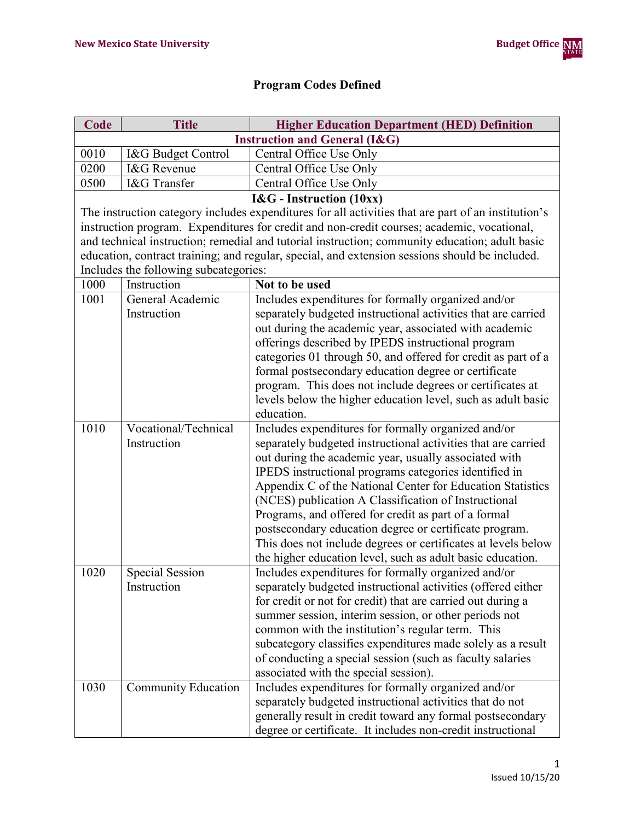## **Program Codes Defined**

| Code                                     | <b>Title</b>                          | <b>Higher Education Department (HED) Definition</b>                                                 |
|------------------------------------------|---------------------------------------|-----------------------------------------------------------------------------------------------------|
| <b>Instruction and General (I&amp;G)</b> |                                       |                                                                                                     |
| 0010                                     | I&G Budget Control                    | Central Office Use Only                                                                             |
| 0200                                     | I&G Revenue                           | Central Office Use Only                                                                             |
| 0500                                     | I&G Transfer                          | Central Office Use Only                                                                             |
|                                          |                                       | $I&G$ - Instruction (10xx)                                                                          |
|                                          |                                       | The instruction category includes expenditures for all activities that are part of an institution's |
|                                          |                                       | instruction program. Expenditures for credit and non-credit courses; academic, vocational,          |
|                                          |                                       | and technical instruction; remedial and tutorial instruction; community education; adult basic      |
|                                          |                                       | education, contract training; and regular, special, and extension sessions should be included.      |
|                                          | Includes the following subcategories: |                                                                                                     |
| 1000                                     | Instruction                           | Not to be used                                                                                      |
| 1001                                     | General Academic                      | Includes expenditures for formally organized and/or                                                 |
|                                          | Instruction                           | separately budgeted instructional activities that are carried                                       |
|                                          |                                       | out during the academic year, associated with academic                                              |
|                                          |                                       | offerings described by IPEDS instructional program                                                  |
|                                          |                                       | categories 01 through 50, and offered for credit as part of a                                       |
|                                          |                                       | formal postsecondary education degree or certificate                                                |
|                                          |                                       | program. This does not include degrees or certificates at                                           |
|                                          |                                       | levels below the higher education level, such as adult basic                                        |
|                                          |                                       | education.                                                                                          |
| 1010                                     | Vocational/Technical                  | Includes expenditures for formally organized and/or                                                 |
|                                          | Instruction                           | separately budgeted instructional activities that are carried                                       |
|                                          |                                       | out during the academic year, usually associated with                                               |
|                                          |                                       | IPEDS instructional programs categories identified in                                               |
|                                          |                                       | Appendix C of the National Center for Education Statistics                                          |
|                                          |                                       | (NCES) publication A Classification of Instructional                                                |
|                                          |                                       | Programs, and offered for credit as part of a formal                                                |
|                                          |                                       | postsecondary education degree or certificate program.                                              |
|                                          |                                       | This does not include degrees or certificates at levels below                                       |
|                                          |                                       | the higher education level, such as adult basic education.                                          |
| 1020                                     | <b>Special Session</b>                | Includes expenditures for formally organized and/or                                                 |
|                                          | Instruction                           | separately budgeted instructional activities (offered either                                        |
|                                          |                                       | for credit or not for credit) that are carried out during a                                         |
|                                          |                                       | summer session, interim session, or other periods not                                               |
|                                          |                                       | common with the institution's regular term. This                                                    |
|                                          |                                       | subcategory classifies expenditures made solely as a result                                         |
|                                          |                                       | of conducting a special session (such as faculty salaries                                           |
|                                          |                                       | associated with the special session).                                                               |
| 1030                                     | <b>Community Education</b>            | Includes expenditures for formally organized and/or                                                 |
|                                          |                                       | separately budgeted instructional activities that do not                                            |
|                                          |                                       | generally result in credit toward any formal postsecondary                                          |
|                                          |                                       | degree or certificate. It includes non-credit instructional                                         |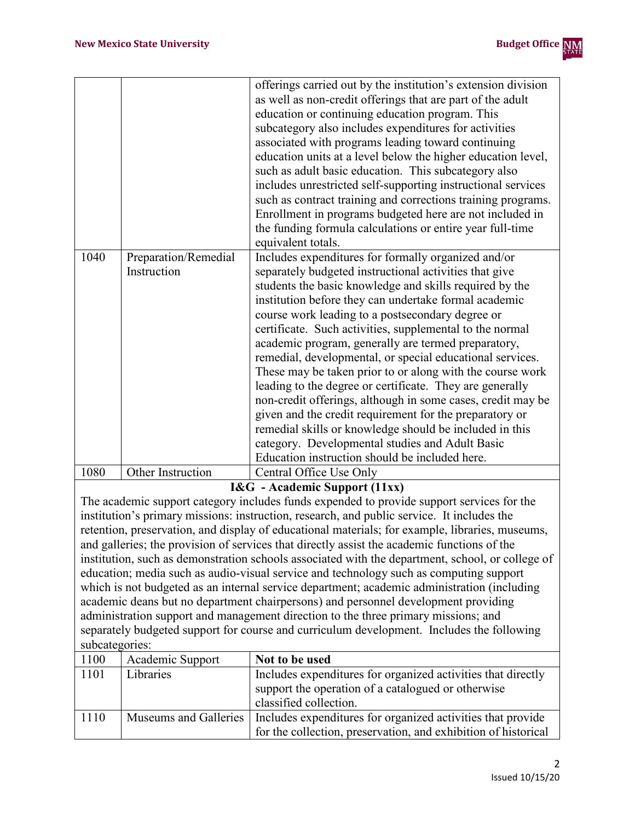

|      |                      | offerings carried out by the institution's extension division<br>as well as non-credit offerings that are part of the adult |
|------|----------------------|-----------------------------------------------------------------------------------------------------------------------------|
|      |                      | education or continuing education program. This                                                                             |
|      |                      | subcategory also includes expenditures for activities                                                                       |
|      |                      | associated with programs leading toward continuing                                                                          |
|      |                      | education units at a level below the higher education level,                                                                |
|      |                      | such as adult basic education. This subcategory also                                                                        |
|      |                      | includes unrestricted self-supporting instructional services                                                                |
|      |                      | such as contract training and corrections training programs.                                                                |
|      |                      | Enrollment in programs budgeted here are not included in                                                                    |
|      |                      | the funding formula calculations or entire year full-time                                                                   |
|      |                      | equivalent totals.                                                                                                          |
| 1040 | Preparation/Remedial | Includes expenditures for formally organized and/or                                                                         |
|      | Instruction          | separately budgeted instructional activities that give                                                                      |
|      |                      | students the basic knowledge and skills required by the                                                                     |
|      |                      | institution before they can undertake formal academic                                                                       |
|      |                      | course work leading to a postsecondary degree or                                                                            |
|      |                      | certificate. Such activities, supplemental to the normal                                                                    |
|      |                      | academic program, generally are termed preparatory,                                                                         |
|      |                      | remedial, developmental, or special educational services.                                                                   |
|      |                      | These may be taken prior to or along with the course work                                                                   |
|      |                      | leading to the degree or certificate. They are generally                                                                    |
|      |                      | non-credit offerings, although in some cases, credit may be                                                                 |
|      |                      | given and the credit requirement for the preparatory or                                                                     |
|      |                      | remedial skills or knowledge should be included in this                                                                     |
|      |                      | category. Developmental studies and Adult Basic                                                                             |
|      |                      | Education instruction should be included here.                                                                              |
| 1080 | Other Instruction    | Central Office Use Only                                                                                                     |

## **I&G - Academic Support (11xx)**

The academic support category includes funds expended to provide support services for the institution's primary missions: instruction, research, and public service. It includes the retention, preservation, and display of educational materials; for example, libraries, museums, and galleries; the provision of services that directly assist the academic functions of the institution, such as demonstration schools associated with the department, school, or college of education; media such as audio-visual service and technology such as computing support which is not budgeted as an internal service department; academic administration (including academic deans but no department chairpersons) and personnel development providing administration support and management direction to the three primary missions; and separately budgeted support for course and curriculum development. Includes the following subcategories:

| 1100 | Academic Support      | Not to be used                                                 |
|------|-----------------------|----------------------------------------------------------------|
| 1101 | Libraries             | Includes expenditures for organized activities that directly   |
|      |                       | support the operation of a catalogued or otherwise             |
|      |                       | classified collection.                                         |
| 1110 | Museums and Galleries | Includes expenditures for organized activities that provide    |
|      |                       | for the collection, preservation, and exhibition of historical |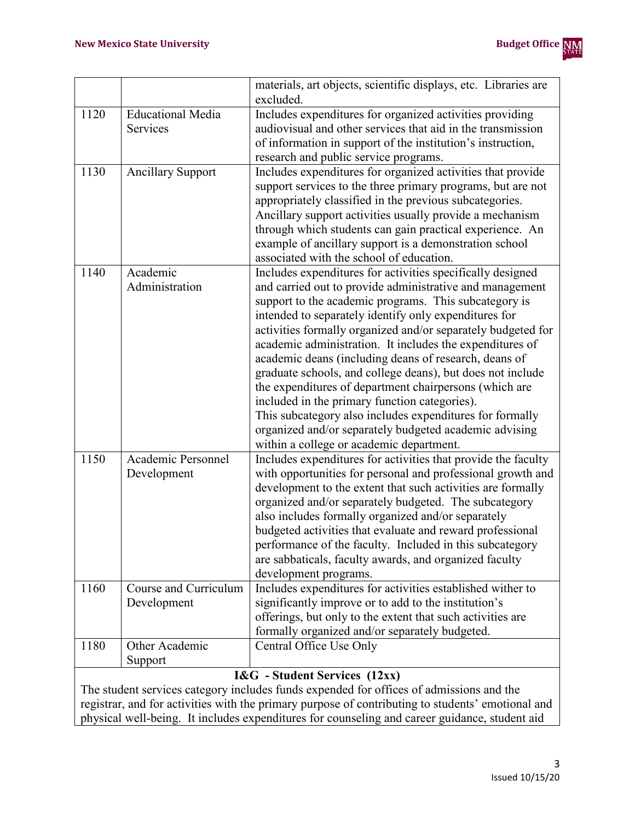

|                                                                                         |                          | materials, art objects, scientific displays, etc. Libraries are<br>excluded. |
|-----------------------------------------------------------------------------------------|--------------------------|------------------------------------------------------------------------------|
| 1120                                                                                    | <b>Educational Media</b> | Includes expenditures for organized activities providing                     |
|                                                                                         | Services                 | audiovisual and other services that aid in the transmission                  |
|                                                                                         |                          | of information in support of the institution's instruction,                  |
|                                                                                         |                          | research and public service programs.                                        |
| 1130                                                                                    | <b>Ancillary Support</b> | Includes expenditures for organized activities that provide                  |
|                                                                                         |                          | support services to the three primary programs, but are not                  |
|                                                                                         |                          | appropriately classified in the previous subcategories.                      |
|                                                                                         |                          | Ancillary support activities usually provide a mechanism                     |
|                                                                                         |                          | through which students can gain practical experience. An                     |
|                                                                                         |                          | example of ancillary support is a demonstration school                       |
|                                                                                         |                          | associated with the school of education.                                     |
| 1140                                                                                    | Academic                 | Includes expenditures for activities specifically designed                   |
|                                                                                         | Administration           | and carried out to provide administrative and management                     |
|                                                                                         |                          | support to the academic programs. This subcategory is                        |
|                                                                                         |                          | intended to separately identify only expenditures for                        |
|                                                                                         |                          | activities formally organized and/or separately budgeted for                 |
|                                                                                         |                          | academic administration. It includes the expenditures of                     |
|                                                                                         |                          | academic deans (including deans of research, deans of                        |
|                                                                                         |                          | graduate schools, and college deans), but does not include                   |
|                                                                                         |                          | the expenditures of department chairpersons (which are                       |
|                                                                                         |                          | included in the primary function categories).                                |
|                                                                                         |                          | This subcategory also includes expenditures for formally                     |
|                                                                                         |                          | organized and/or separately budgeted academic advising                       |
|                                                                                         |                          | within a college or academic department.                                     |
| 1150                                                                                    | Academic Personnel       | Includes expenditures for activities that provide the faculty                |
|                                                                                         | Development              | with opportunities for personal and professional growth and                  |
|                                                                                         |                          | development to the extent that such activities are formally                  |
|                                                                                         |                          | organized and/or separately budgeted. The subcategory                        |
|                                                                                         |                          | also includes formally organized and/or separately                           |
|                                                                                         |                          | budgeted activities that evaluate and reward professional                    |
|                                                                                         |                          | performance of the faculty. Included in this subcategory                     |
|                                                                                         |                          | are sabbaticals, faculty awards, and organized faculty                       |
|                                                                                         |                          | development programs.                                                        |
| 1160                                                                                    | Course and Curriculum    | Includes expenditures for activities established wither to                   |
|                                                                                         | Development              | significantly improve or to add to the institution's                         |
|                                                                                         |                          | offerings, but only to the extent that such activities are                   |
|                                                                                         |                          | formally organized and/or separately budgeted.                               |
| 1180                                                                                    | Other Academic           | Central Office Use Only                                                      |
|                                                                                         | Support                  |                                                                              |
| I&G - Student Services (12xx)                                                           |                          |                                                                              |
| The student services category includes funds expended for offices of admissions and the |                          |                                                                              |

registrar, and for activities with the primary purpose of contributing to students' emotional and physical well-being. It includes expenditures for counseling and career guidance, student aid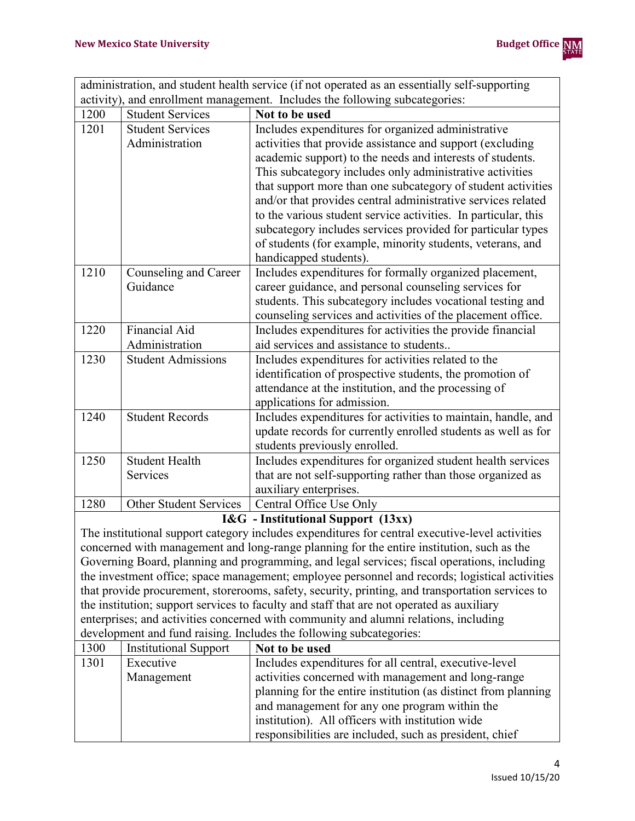

administration, and student health service (if not operated as an essentially self-supporting activity), and enrollment management. Includes the following subcategories:

| 1200 | <b>Student Services</b>       | Not to be used                                                 |
|------|-------------------------------|----------------------------------------------------------------|
|      |                               |                                                                |
| 1201 | <b>Student Services</b>       | Includes expenditures for organized administrative             |
|      | Administration                | activities that provide assistance and support (excluding      |
|      |                               | academic support) to the needs and interests of students.      |
|      |                               | This subcategory includes only administrative activities       |
|      |                               | that support more than one subcategory of student activities   |
|      |                               | and/or that provides central administrative services related   |
|      |                               | to the various student service activities. In particular, this |
|      |                               | subcategory includes services provided for particular types    |
|      |                               | of students (for example, minority students, veterans, and     |
|      |                               | handicapped students).                                         |
| 1210 | Counseling and Career         | Includes expenditures for formally organized placement,        |
|      | Guidance                      | career guidance, and personal counseling services for          |
|      |                               | students. This subcategory includes vocational testing and     |
|      |                               | counseling services and activities of the placement office.    |
| 1220 | Financial Aid                 | Includes expenditures for activities the provide financial     |
|      | Administration                | aid services and assistance to students                        |
| 1230 | <b>Student Admissions</b>     | Includes expenditures for activities related to the            |
|      |                               | identification of prospective students, the promotion of       |
|      |                               | attendance at the institution, and the processing of           |
|      |                               | applications for admission.                                    |
| 1240 | <b>Student Records</b>        | Includes expenditures for activities to maintain, handle, and  |
|      |                               | update records for currently enrolled students as well as for  |
|      |                               | students previously enrolled.                                  |
| 1250 | <b>Student Health</b>         | Includes expenditures for organized student health services    |
|      | Services                      | that are not self-supporting rather than those organized as    |
|      |                               | auxiliary enterprises.                                         |
| 1280 | <b>Other Student Services</b> | Central Office Use Only                                        |
|      |                               |                                                                |

**I&G - Institutional Support (13xx)**

The institutional support category includes expenditures for central executive-level activities concerned with management and long-range planning for the entire institution, such as the Governing Board, planning and programming, and legal services; fiscal operations, including the investment office; space management; employee personnel and records; logistical activities that provide procurement, storerooms, safety, security, printing, and transportation services to the institution; support services to faculty and staff that are not operated as auxiliary enterprises; and activities concerned with community and alumni relations, including development and fund raising. Includes the following subcategories:

| 1300 | <b>Institutional Support</b> | Not to be used                                                 |
|------|------------------------------|----------------------------------------------------------------|
| 1301 | Executive                    | Includes expenditures for all central, executive-level         |
|      | Management                   | activities concerned with management and long-range            |
|      |                              | planning for the entire institution (as distinct from planning |
|      |                              | and management for any one program within the                  |
|      |                              | institution). All officers with institution wide               |
|      |                              | responsibilities are included, such as president, chief        |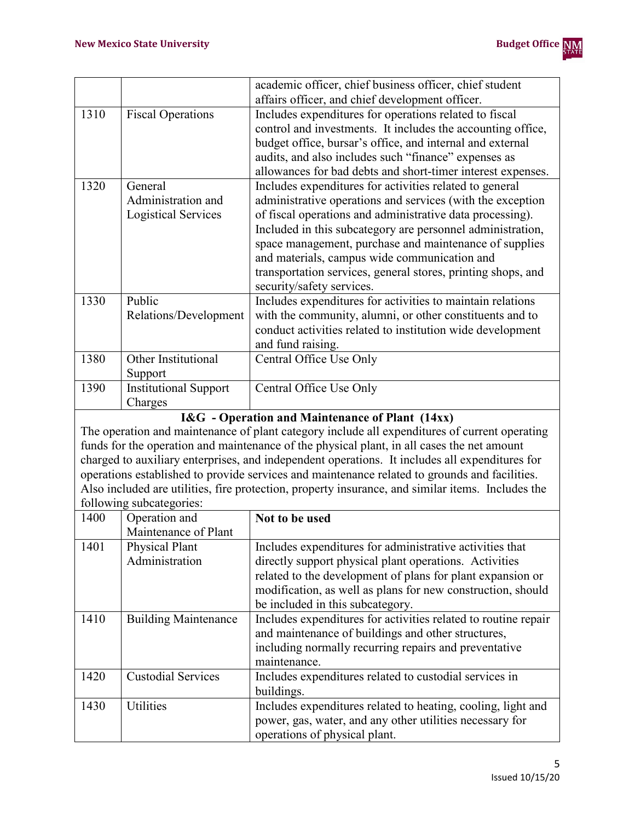|      |                                                | academic officer, chief business officer, chief student      |
|------|------------------------------------------------|--------------------------------------------------------------|
|      |                                                |                                                              |
|      |                                                | affairs officer, and chief development officer.              |
| 1310 | <b>Fiscal Operations</b>                       | Includes expenditures for operations related to fiscal       |
|      |                                                | control and investments. It includes the accounting office,  |
|      |                                                | budget office, bursar's office, and internal and external    |
|      |                                                | audits, and also includes such "finance" expenses as         |
|      |                                                | allowances for bad debts and short-timer interest expenses.  |
| 1320 | General                                        | Includes expenditures for activities related to general      |
|      | Administration and                             | administrative operations and services (with the exception   |
|      | <b>Logistical Services</b>                     | of fiscal operations and administrative data processing).    |
|      |                                                | Included in this subcategory are personnel administration,   |
|      |                                                | space management, purchase and maintenance of supplies       |
|      |                                                | and materials, campus wide communication and                 |
|      |                                                | transportation services, general stores, printing shops, and |
|      |                                                | security/safety services.                                    |
|      |                                                |                                                              |
| 1330 | Public                                         | Includes expenditures for activities to maintain relations   |
|      | Relations/Development                          | with the community, alumni, or other constituents and to     |
|      |                                                | conduct activities related to institution wide development   |
|      |                                                | and fund raising.                                            |
| 1380 | Other Institutional                            | Central Office Use Only                                      |
|      | Support                                        |                                                              |
| 1390 | <b>Institutional Support</b>                   | Central Office Use Only                                      |
|      | Charges                                        |                                                              |
|      | $\mathbf{r} \circ \mathbf{r} \circ \mathbf{r}$ | <b>135.7</b><br>e mi<br>$\sqrt{44}$                          |

## **I&G - Operation and Maintenance of Plant (14xx)**

The operation and maintenance of plant category include all expenditures of current operating funds for the operation and maintenance of the physical plant, in all cases the net amount charged to auxiliary enterprises, and independent operations. It includes all expenditures for operations established to provide services and maintenance related to grounds and facilities. Also included are utilities, fire protection, property insurance, and similar items. Includes the following subcategories:

| 1400 | Operation and               | Not to be used                                                 |
|------|-----------------------------|----------------------------------------------------------------|
|      | Maintenance of Plant        |                                                                |
| 1401 | Physical Plant              | Includes expenditures for administrative activities that       |
|      | Administration              | directly support physical plant operations. Activities         |
|      |                             | related to the development of plans for plant expansion or     |
|      |                             | modification, as well as plans for new construction, should    |
|      |                             | be included in this subcategory.                               |
| 1410 | <b>Building Maintenance</b> | Includes expenditures for activities related to routine repair |
|      |                             | and maintenance of buildings and other structures,             |
|      |                             | including normally recurring repairs and preventative          |
|      |                             | maintenance.                                                   |
| 1420 | <b>Custodial Services</b>   | Includes expenditures related to custodial services in         |
|      |                             | buildings.                                                     |
| 1430 | <b>Utilities</b>            | Includes expenditures related to heating, cooling, light and   |
|      |                             | power, gas, water, and any other utilities necessary for       |
|      |                             | operations of physical plant.                                  |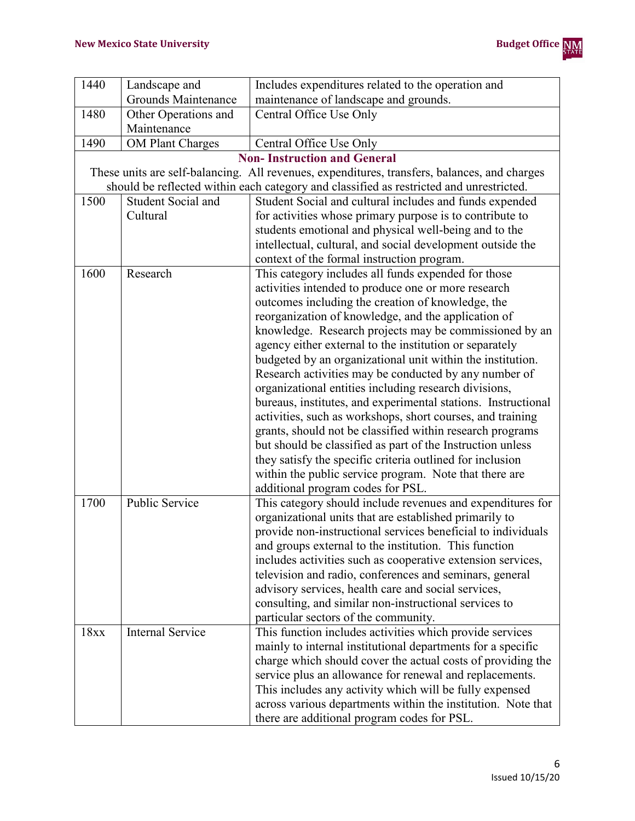| 1440 | Landscape and              | Includes expenditures related to the operation and                                           |
|------|----------------------------|----------------------------------------------------------------------------------------------|
|      | <b>Grounds Maintenance</b> | maintenance of landscape and grounds.                                                        |
| 1480 | Other Operations and       | Central Office Use Only                                                                      |
|      | Maintenance                |                                                                                              |
| 1490 | <b>OM Plant Charges</b>    | Central Office Use Only                                                                      |
|      |                            | <b>Non-Instruction and General</b>                                                           |
|      |                            | These units are self-balancing. All revenues, expenditures, transfers, balances, and charges |
|      |                            | should be reflected within each category and classified as restricted and unrestricted.      |
| 1500 | Student Social and         | Student Social and cultural includes and funds expended                                      |
|      | Cultural                   | for activities whose primary purpose is to contribute to                                     |
|      |                            | students emotional and physical well-being and to the                                        |
|      |                            | intellectual, cultural, and social development outside the                                   |
|      |                            | context of the formal instruction program.                                                   |
| 1600 | Research                   | This category includes all funds expended for those                                          |
|      |                            | activities intended to produce one or more research                                          |
|      |                            | outcomes including the creation of knowledge, the                                            |
|      |                            | reorganization of knowledge, and the application of                                          |
|      |                            | knowledge. Research projects may be commissioned by an                                       |
|      |                            | agency either external to the institution or separately                                      |
|      |                            | budgeted by an organizational unit within the institution.                                   |
|      |                            | Research activities may be conducted by any number of                                        |
|      |                            | organizational entities including research divisions,                                        |
|      |                            | bureaus, institutes, and experimental stations. Instructional                                |
|      |                            | activities, such as workshops, short courses, and training                                   |
|      |                            | grants, should not be classified within research programs                                    |
|      |                            | but should be classified as part of the Instruction unless                                   |
|      |                            | they satisfy the specific criteria outlined for inclusion                                    |
|      |                            | within the public service program. Note that there are                                       |
|      |                            | additional program codes for PSL.                                                            |
| 1700 | Public Service             | This category should include revenues and expenditures for                                   |
|      |                            | organizational units that are established primarily to                                       |
|      |                            | provide non-instructional services beneficial to individuals                                 |
|      |                            | and groups external to the institution. This function                                        |
|      |                            | includes activities such as cooperative extension services,                                  |
|      |                            | television and radio, conferences and seminars, general                                      |
|      |                            | advisory services, health care and social services,                                          |
|      |                            | consulting, and similar non-instructional services to                                        |
|      |                            | particular sectors of the community.                                                         |
| 18xx | <b>Internal Service</b>    | This function includes activities which provide services                                     |
|      |                            | mainly to internal institutional departments for a specific                                  |
|      |                            | charge which should cover the actual costs of providing the                                  |
|      |                            | service plus an allowance for renewal and replacements.                                      |
|      |                            | This includes any activity which will be fully expensed                                      |
|      |                            | across various departments within the institution. Note that                                 |
|      |                            | there are additional program codes for PSL.                                                  |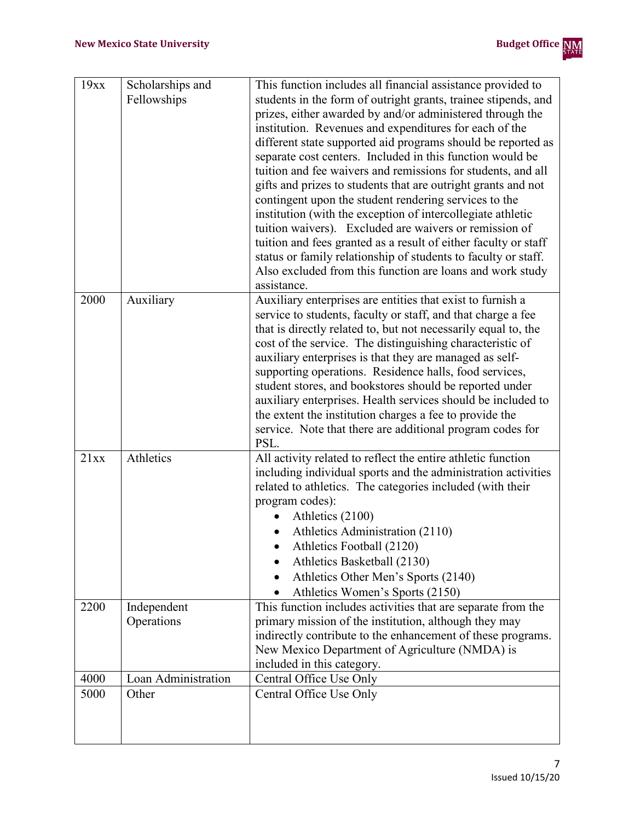| 19xx | Scholarships and    | This function includes all financial assistance provided to                                                          |
|------|---------------------|----------------------------------------------------------------------------------------------------------------------|
|      | Fellowships         | students in the form of outright grants, trainee stipends, and                                                       |
|      |                     | prizes, either awarded by and/or administered through the                                                            |
|      |                     | institution. Revenues and expenditures for each of the                                                               |
|      |                     | different state supported aid programs should be reported as                                                         |
|      |                     | separate cost centers. Included in this function would be                                                            |
|      |                     | tuition and fee waivers and remissions for students, and all                                                         |
|      |                     | gifts and prizes to students that are outright grants and not                                                        |
|      |                     | contingent upon the student rendering services to the                                                                |
|      |                     | institution (with the exception of intercollegiate athletic                                                          |
|      |                     | tuition waivers). Excluded are waivers or remission of                                                               |
|      |                     | tuition and fees granted as a result of either faculty or staff                                                      |
|      |                     | status or family relationship of students to faculty or staff.                                                       |
|      |                     | Also excluded from this function are loans and work study                                                            |
|      |                     | assistance.                                                                                                          |
| 2000 | Auxiliary           | Auxiliary enterprises are entities that exist to furnish a                                                           |
|      |                     | service to students, faculty or staff, and that charge a fee                                                         |
|      |                     | that is directly related to, but not necessarily equal to, the                                                       |
|      |                     | cost of the service. The distinguishing characteristic of<br>auxiliary enterprises is that they are managed as self- |
|      |                     | supporting operations. Residence halls, food services,                                                               |
|      |                     | student stores, and bookstores should be reported under                                                              |
|      |                     | auxiliary enterprises. Health services should be included to                                                         |
|      |                     | the extent the institution charges a fee to provide the                                                              |
|      |                     | service. Note that there are additional program codes for                                                            |
|      |                     | PSL.                                                                                                                 |
| 21xx | Athletics           | All activity related to reflect the entire athletic function                                                         |
|      |                     | including individual sports and the administration activities                                                        |
|      |                     | related to athletics. The categories included (with their                                                            |
|      |                     | program codes):                                                                                                      |
|      |                     | Athletics (2100)                                                                                                     |
|      |                     | Athletics Administration (2110)                                                                                      |
|      |                     | Athletics Football (2120)                                                                                            |
|      |                     | Athletics Basketball (2130)                                                                                          |
|      |                     | Athletics Other Men's Sports (2140)                                                                                  |
|      |                     | Athletics Women's Sports (2150)                                                                                      |
| 2200 | Independent         | This function includes activities that are separate from the                                                         |
|      | Operations          | primary mission of the institution, although they may                                                                |
|      |                     | indirectly contribute to the enhancement of these programs.                                                          |
|      |                     | New Mexico Department of Agriculture (NMDA) is                                                                       |
|      |                     | included in this category.                                                                                           |
| 4000 | Loan Administration | Central Office Use Only                                                                                              |
| 5000 | Other               | Central Office Use Only                                                                                              |
|      |                     |                                                                                                                      |
|      |                     |                                                                                                                      |
|      |                     |                                                                                                                      |